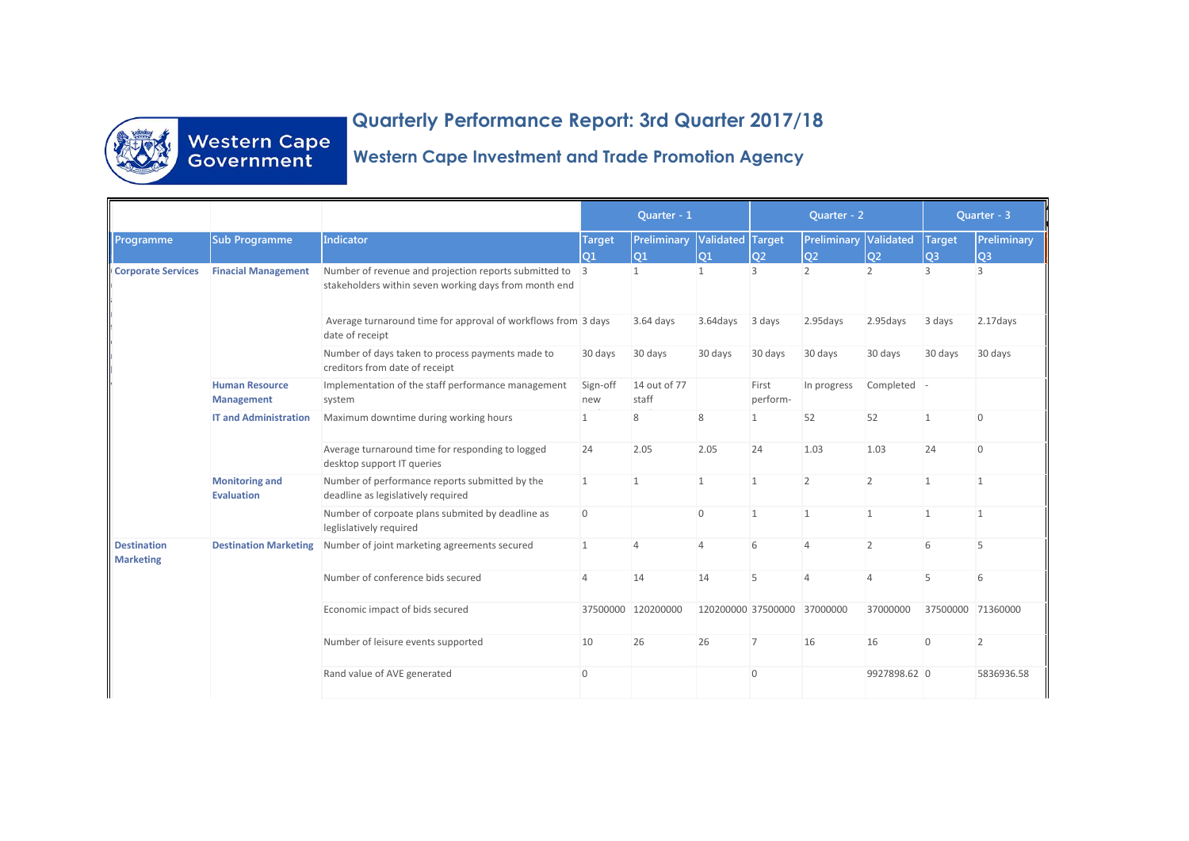

## **Quarterly Performance Report: 3rd Quarter 2017/18 Western Cape Investment and Trade Promotion Agency.**

## **Western Cape Investment and Trade Promotion Agency**

|                                        |                                            |                                                                                                                  | Quarter - 1          |                       |                        | Quarter - 2       |                                     |                | Quarter - 3                     |                    |
|----------------------------------------|--------------------------------------------|------------------------------------------------------------------------------------------------------------------|----------------------|-----------------------|------------------------|-------------------|-------------------------------------|----------------|---------------------------------|--------------------|
| Programme                              | <b>Sub Programme</b>                       | Indicator                                                                                                        | <b>Target</b><br>lo1 | Preliminary<br>01     | Validated Target<br>01 | lo <sub>2</sub>   | <b>Preliminary Validated</b><br>lo2 | <b>O2</b>      | <b>Target</b><br>O <sub>3</sub> | Preliminary<br>lO3 |
| <b>Corporate Services</b>              | <b>Finacial Management</b>                 | Number of revenue and projection reports submitted to 3<br>stakeholders within seven working days from month end |                      | $\overline{1}$        | $\mathbf{1}$           | $\mathcal{R}$     | 2                                   | $\mathcal{P}$  | ς                               | 3                  |
|                                        |                                            | Average turnaround time for approval of workflows from 3 days<br>date of receipt                                 |                      | 3.64 days             | 3.64days               | 3 days            | 2.95days                            | 2.95days       | 3 days                          | 2.17days           |
|                                        |                                            | Number of days taken to process payments made to<br>creditors from date of receipt                               | 30 days              | 30 days               | 30 days                | 30 days           | 30 days                             | 30 days        | 30 days                         | 30 days            |
|                                        | <b>Human Resource</b><br><b>Management</b> | Implementation of the staff performance management<br>system                                                     | Sign-off<br>new      | 14 out of 77<br>staff |                        | First<br>perform- | In progress                         | Completed -    |                                 |                    |
|                                        | <b>IT and Administration</b>               | Maximum downtime during working hours                                                                            | $\overline{1}$       | 8                     | 8                      | $\mathbf{1}$      | 52                                  | 52             | 1                               | $\mathbf{0}$       |
|                                        |                                            | Average turnaround time for responding to logged<br>desktop support IT queries                                   | 24                   | 2.05                  | 2.05                   | 24                | 1.03                                | 1.03           | 24                              | $\mathbf{0}$       |
|                                        | <b>Monitoring and</b><br><b>Evaluation</b> | Number of performance reports submitted by the<br>deadline as legislatively required                             | $\mathbf{1}$         | $\mathbf{1}$          | $\mathbf{1}$           | $\mathbf{1}$      | 2                                   | 2              | $\mathbf{1}$                    | $\mathbf{1}$       |
|                                        |                                            | Number of corpoate plans submited by deadline as<br>leglislatively required                                      | $\Omega$             |                       | $\Omega$               | $\mathbf{1}$      | $\mathbf{1}$                        | $\mathbf{1}$   | $\mathbf{1}$                    | $\mathbf{1}$       |
| <b>Destination</b><br><b>Marketing</b> | <b>Destination Marketing</b>               | Number of joint marketing agreements secured                                                                     | 1                    | 4                     | $\overline{4}$         | 6                 | $\overline{4}$                      | $\overline{2}$ | 6                               | 5                  |
|                                        |                                            | Number of conference bids secured                                                                                | $\overline{4}$       | 14                    | 14                     | 5                 | $\Delta$                            | $\Delta$       | 5                               | 6                  |
|                                        |                                            | Economic impact of bids secured                                                                                  | 37500000             | 120200000             | 120200000 37500000     |                   | 37000000                            | 37000000       | 37500000 71360000               |                    |
|                                        |                                            | Number of leisure events supported                                                                               | 10                   | 26                    | 26                     | $\overline{7}$    | 16                                  | 16             | $\overline{0}$                  | $\overline{2}$     |
|                                        |                                            | Rand value of AVE generated                                                                                      | $\Omega$             |                       |                        | $\mathbf{0}$      |                                     | 9927898.62 0   |                                 | 5836936.58         |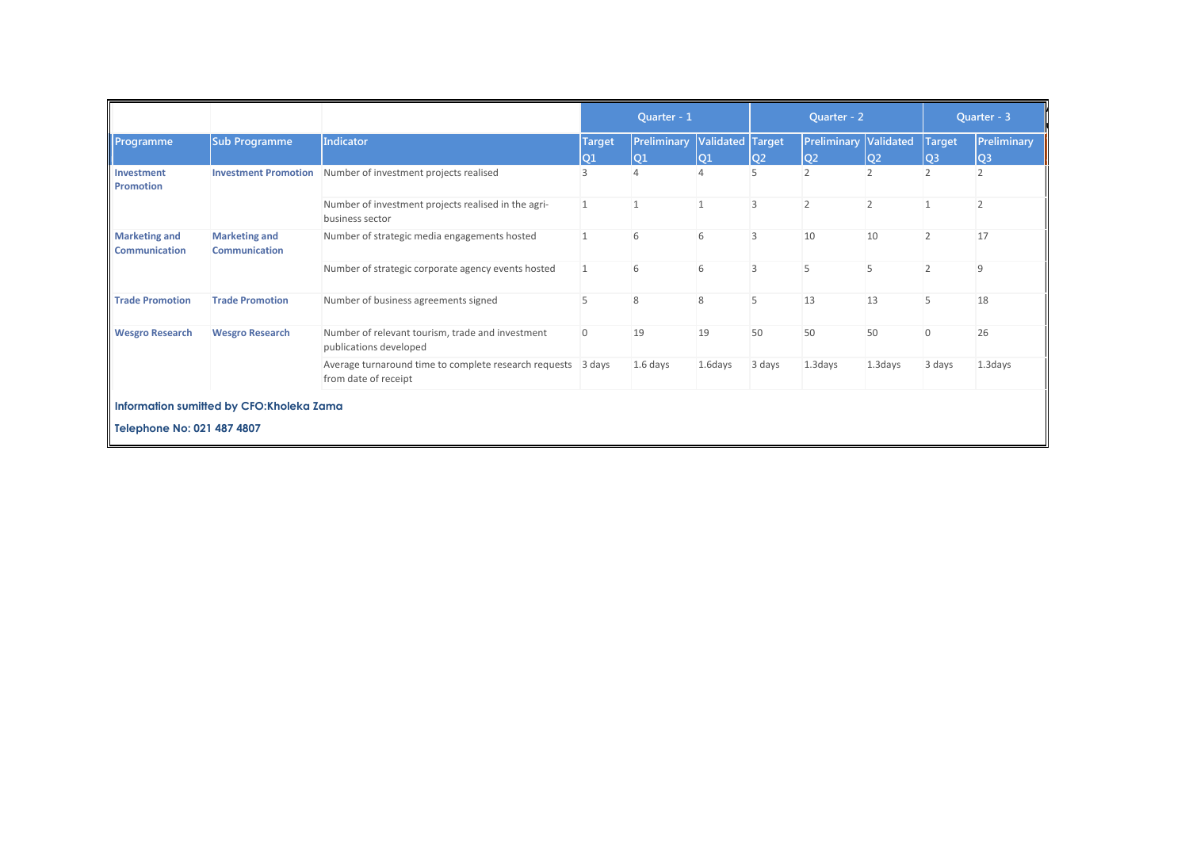|                                              |                                              |                                                                                      | Quarter - 1    |                          |                               | Quarter - 2    |                                                |                | Quarter - 3                     |                               |
|----------------------------------------------|----------------------------------------------|--------------------------------------------------------------------------------------|----------------|--------------------------|-------------------------------|----------------|------------------------------------------------|----------------|---------------------------------|-------------------------------|
| Programme                                    | <b>Sub Programme</b>                         | Indicator                                                                            | Target,<br>lQ1 | <b>Preliminary</b><br>O1 | <b>Validated Target</b><br>Q1 | lQ2            | <b>Preliminary Validated</b><br>Q <sub>2</sub> | lo2            | <b>Target</b><br>Q <sub>3</sub> | Preliminary<br>Q <sub>3</sub> |
| Investment<br>Promotion                      | <b>Investment Promotion</b>                  | Number of investment projects realised                                               |                |                          |                               | 5              | $\overline{\phantom{a}}$                       |                |                                 |                               |
|                                              |                                              | Number of investment projects realised in the agri-<br>business sector               | $\mathbf{1}$   |                          |                               | 3              | $\overline{2}$                                 | $\overline{2}$ |                                 |                               |
| <b>Marketing and</b><br><b>Communication</b> | <b>Marketing and</b><br><b>Communication</b> | Number of strategic media engagements hosted                                         |                |                          | 6                             | 3              | 10                                             | 10             |                                 | 17                            |
|                                              |                                              | Number of strategic corporate agency events hosted                                   | 1              | 6                        | 6                             | $\overline{3}$ | 5                                              | 5              |                                 | 9                             |
| <b>Trade Promotion</b>                       | <b>Trade Promotion</b>                       | Number of business agreements signed                                                 |                | 8                        | 8                             | 5              | 13                                             | 13             |                                 | 18                            |
| <b>Wesgro Research</b>                       | <b>Wesgro Research</b>                       | Number of relevant tourism, trade and investment<br>publications developed           | $\mathbf{0}$   | 19                       | 19                            | 50             | 50                                             | 50             | $\Omega$                        | 26                            |
|                                              |                                              | Average turnaround time to complete research requests 3 days<br>from date of receipt |                | $1.6$ days               | 1.6days                       | 3 days         | 1.3 days                                       | 1.3days        | 3 days                          | 1.3 days                      |
| Information sumitted by CFO:Kholeka Zama     |                                              |                                                                                      |                |                          |                               |                |                                                |                |                                 |                               |
| Telephone No: 021 487 4807                   |                                              |                                                                                      |                |                          |                               |                |                                                |                |                                 |                               |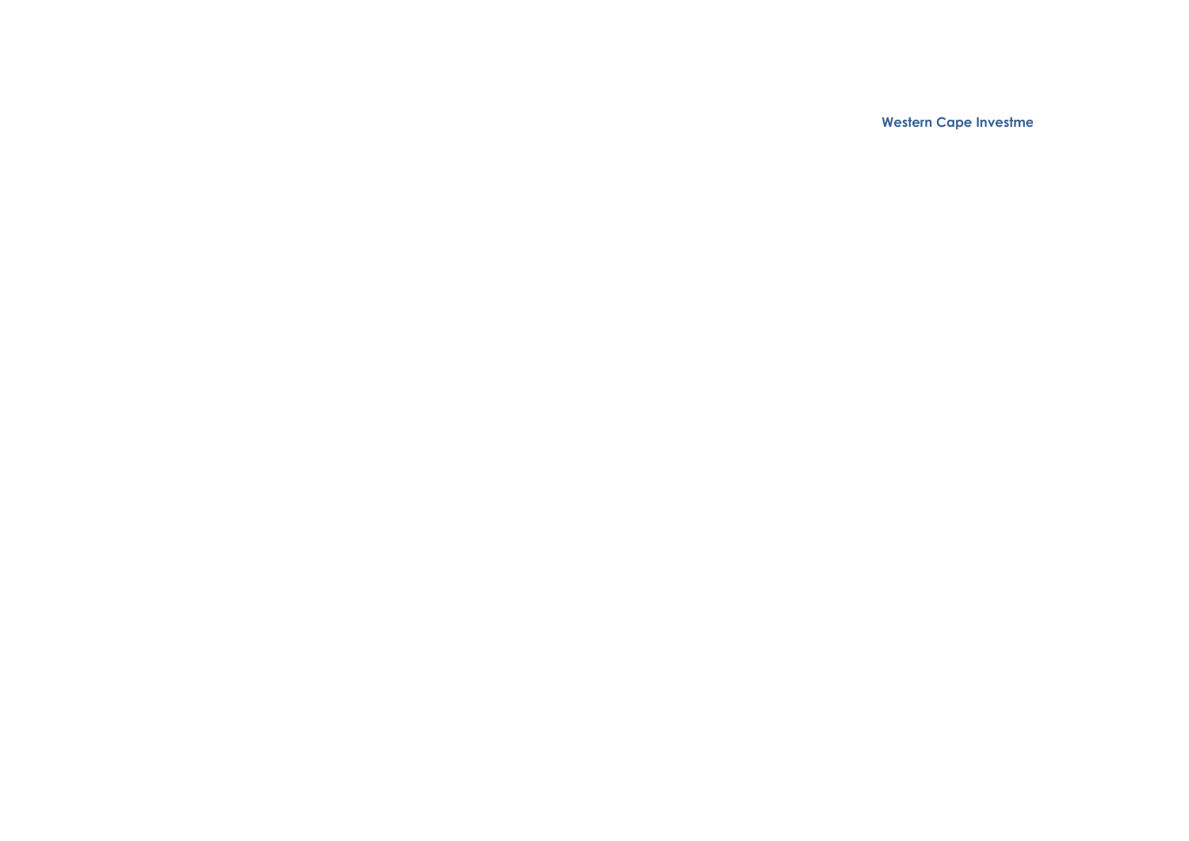**Automation Performance Report: 3rd Quarter 2017/18 and Trade Proportion Agency**